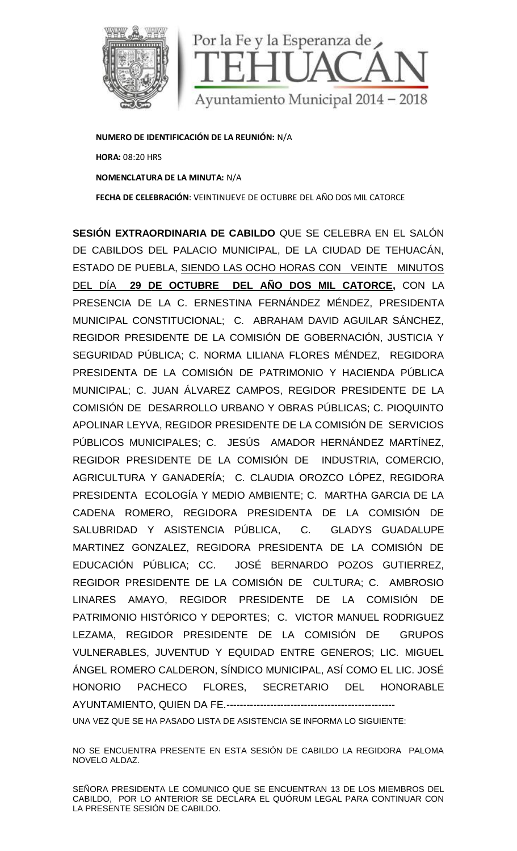

**NUMERO DE IDENTIFICACIÓN DE LA REUNIÓN:** N/A **HORA:** 08:20 HRS **NOMENCLATURA DE LA MINUTA:** N/A **FECHA DE CELEBRACIÓN**: VEINTINUEVE DE OCTUBRE DEL AÑO DOS MIL CATORCE

**SESIÓN EXTRAORDINARIA DE CABILDO** QUE SE CELEBRA EN EL SALÓN DE CABILDOS DEL PALACIO MUNICIPAL, DE LA CIUDAD DE TEHUACÁN, ESTADO DE PUEBLA, SIENDO LAS OCHO HORAS CON VEINTE MINUTOS DEL DÍA **29 DE OCTUBRE DEL AÑO DOS MIL CATORCE,** CON LA PRESENCIA DE LA C. ERNESTINA FERNÁNDEZ MÉNDEZ, PRESIDENTA MUNICIPAL CONSTITUCIONAL; C. ABRAHAM DAVID AGUILAR SÁNCHEZ, REGIDOR PRESIDENTE DE LA COMISIÓN DE GOBERNACIÓN, JUSTICIA Y SEGURIDAD PÚBLICA; C. NORMA LILIANA FLORES MÉNDEZ, REGIDORA PRESIDENTA DE LA COMISIÓN DE PATRIMONIO Y HACIENDA PÚBLICA MUNICIPAL; C. JUAN ÁLVAREZ CAMPOS, REGIDOR PRESIDENTE DE LA COMISIÓN DE DESARROLLO URBANO Y OBRAS PÚBLICAS; C. PIOQUINTO APOLINAR LEYVA, REGIDOR PRESIDENTE DE LA COMISIÓN DE SERVICIOS PÚBLICOS MUNICIPALES; C. JESÚS AMADOR HERNÁNDEZ MARTÍNEZ, REGIDOR PRESIDENTE DE LA COMISIÓN DE INDUSTRIA, COMERCIO, AGRICULTURA Y GANADERÍA; C. CLAUDIA OROZCO LÓPEZ, REGIDORA PRESIDENTA ECOLOGÍA Y MEDIO AMBIENTE; C. MARTHA GARCIA DE LA CADENA ROMERO, REGIDORA PRESIDENTA DE LA COMISIÓN DE SALUBRIDAD Y ASISTENCIA PÚBLICA, C. GLADYS GUADALUPE MARTINEZ GONZALEZ, REGIDORA PRESIDENTA DE LA COMISIÓN DE EDUCACIÓN PÚBLICA; CC. JOSÉ BERNARDO POZOS GUTIERREZ, REGIDOR PRESIDENTE DE LA COMISIÓN DE CULTURA; C. AMBROSIO LINARES AMAYO, REGIDOR PRESIDENTE DE LA COMISIÓN DE PATRIMONIO HISTÓRICO Y DEPORTES; C. VICTOR MANUEL RODRIGUEZ LEZAMA, REGIDOR PRESIDENTE DE LA COMISIÓN DE GRUPOS VULNERABLES, JUVENTUD Y EQUIDAD ENTRE GENEROS; LIC. MIGUEL ÁNGEL ROMERO CALDERON, SÍNDICO MUNICIPAL, ASÍ COMO EL LIC. JOSÉ HONORIO PACHECO FLORES, SECRETARIO DEL HONORABLE AYUNTAMIENTO, QUIEN DA FE.-------------------------------------------------- LA C. ERNESTINA FERNANDEZ MENDEZ, PRESIDENTA<br>STITUCIONAL; C. ABRAHAM DAVID AGUILAR SÁNCHEZ,<br>DENTE DE LA COMISIÓN DE GOBERNACIÓN, JUSTICIA Y<br>LICA; C. NORMA LILIANA FLORES MÉNDEZ, REGIDORA<br>LA COMISIÓN DE PATRIMONIO Y HACIEND **ECELEBRACIÓN:** VEINTINUEVE DE OCTUBRE DEL A GIODO DE TEHUACÁN, E PUEBLA, SIENDO LAS OCHO HORAS CON VEINTE MINUTOS **29 DE OCTUBRE DEL ANO DOS MIL CATORCE**, CON LA<br>
A DE LA C. CRINESTINA FERNÁNDEZ MÉÉNICEZ, PRESIDENTA A DE ROMERO, REGIDORA PRESIDENTA DE LA COMISION DE<br>
DAD Y ASISTENCIA PÚBLICA, C. GLADYS GUADALUPE<br>
Z GONZALEZ, REGIDORA PRESIDENTA DE LA COMISIÓN DE<br>
ÓN PÚBLICA; CC. JOSÉ BERNARDO POZOS GUTIERREZ,<br>
PRESIDENTE DE LA COMISIÓN DE

UNA VEZ QUE SE HA PASADO LISTA DE ASISTENCIA SE INFORMA LO SIGUIENTE:

NO SE ENCUENTRA PRESENTE EN ESTA SESION DE CABILDO LA REGIDORA PALOMA NOVELO ALDAZ.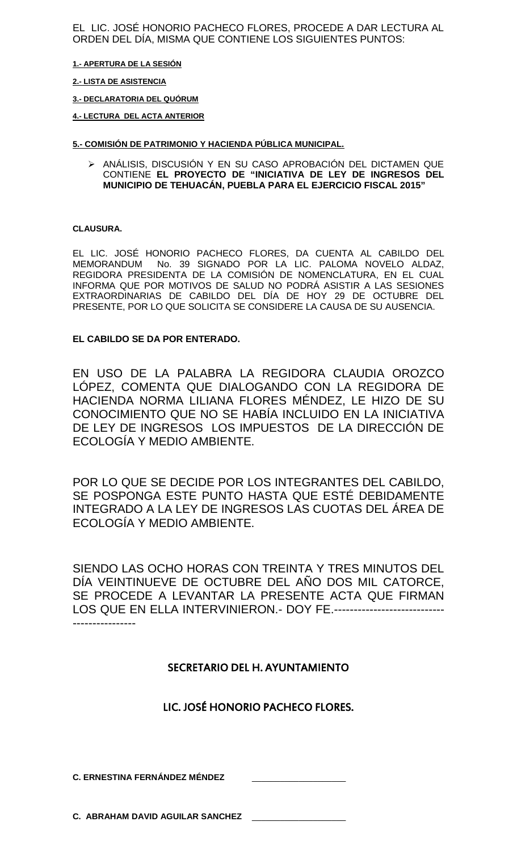EL LIC. JOSÉ HONORIO PACHECO FLORES, PROCEDE A DAR LECTURA AL ORDEN DEL DÍA, MISMA QUE CONTIENE LOS SIGUIENTES PUNTOS:

**1.- APERTURA DE LA SESIÓN**

#### **2.- LISTA DE ASISTENCIA**

**3.- DECLARATORIA DEL QUÓRUM**

**4.- LECTURA DEL ACTA ANTERIOR**

### **5.- COMISIÓN DE PATRIMONIO Y HACIENDA PÚBLICA MUNICIPAL.**

 ANÁLISIS, DISCUSIÓN Y EN SU CASO APROBACIÓN DEL DICTAMEN QUE CONTIENE **EL PROYECTO DE "INICIATIVA DE LEY DE INGRESOS DEL MUNICIPIO DE TEHUACÁN, PUEBLA PARA EL EJERCICIO FISCAL 2015"**

#### **CLAUSURA.**

EL LIC. JOSÉ HONORIO PACHECO FLORES, DA CUENTA AL CABILDO DEL MEMORANDUM No. 39 SIGNADO POR LA LIC. PALOMA NOVELO ALDAZ, REGIDORA PRESIDENTA DE LA COMISIÓN DE NOMENCLATURA, EN EL CUAL INFORMA QUE POR MOTIVOS DE SALUD NO PODRÁ ASISTIR A LAS SESIONES EXTRAORDINARIAS DE CABILDO DEL DÍA DE HOY 29 DE OCTUBRE DEL PRESENTE, POR LO QUE SOLICITA SE CONSIDERE LA CAUSA DE SU AUSENCIA.

## **EL CABILDO SE DA POR ENTERADO.**

EN USO DE LA PALABRA LA REGIDORA CLAUDIA OROZCO LÓPEZ, COMENTA QUE DIALOGANDO CON LA REGIDORA DE HACIENDA NORMA LILIANA FLORES MÉNDEZ, LE HIZO DE SU CONOCIMIENTO QUE NO SE HABÍA INCLUIDO EN LA INICIATIVA DE LEY DE INGRESOS LOS IMPUESTOS DE LA DIRECCIÓN DE ECOLOGÍA Y MEDIO AMBIENTE.

POR LO QUE SE DECIDE POR LOS INTEGRANTES DEL CABILDO, SE POSPONGA ESTE PUNTO HASTA QUE ESTÉ DEBIDAMENTE INTEGRADO A LA LEY DE INGRESOS LAS CUOTAS DEL ÁREA DE ECOLOGÍA Y MEDIO AMBIENTE.

SIENDO LAS OCHO HORAS CON TREINTA Y TRES MINUTOS DEL DÍA VEINTINUEVE DE OCTUBRE DEL AÑO DOS MIL CATORCE, SE PROCEDE A LEVANTAR LA PRESENTE ACTA QUE FIRMAN LOS QUE EN ELLA INTERVINIERON.- DOY FE.---------------------------- ----------------

## **SECRETARIO DEL H. AYUNTAMIENTO**

# **LIC. JOSÉ HONORIO PACHECO FLORES.**

**C. ERNESTINA FERNÁNDEZ MÉNDEZ** 

**C. ABRAHAM DAVID AGUILAR SANCHEZ** \_\_\_\_\_\_\_\_\_\_\_\_\_\_\_\_\_\_\_\_